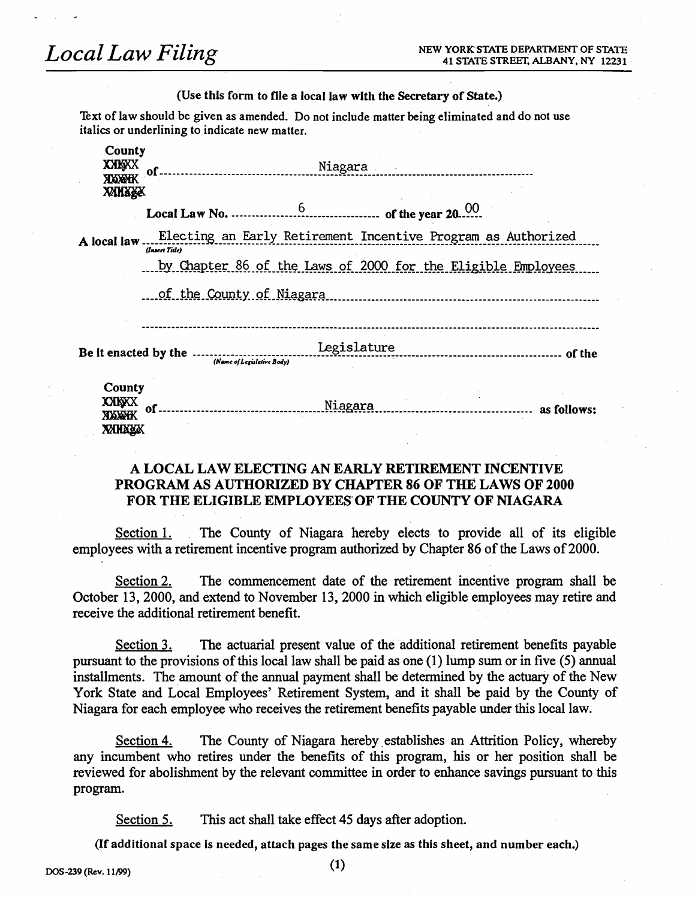**Local Law Filing** 

 $\sim$   $\sim$ 

### (Use this form to file a local law with the Secretary of State.)

Text of law should be given as amended. Do not include matter being eliminated and do not use italics or underlining to indicate new matter.

| County<br><b>XXKXX</b>           | <b>Niagara</b><br>of. |                                                              |         |                                                              |  |  |  |
|----------------------------------|-----------------------|--------------------------------------------------------------|---------|--------------------------------------------------------------|--|--|--|
| <b>XIXXEK</b><br><b>XXNXXX</b>   |                       |                                                              |         |                                                              |  |  |  |
|                                  |                       |                                                              |         |                                                              |  |  |  |
| A local law                      | (Insert Title)        | Electing an Early Retirement Incentive Program as Authorized |         |                                                              |  |  |  |
|                                  |                       |                                                              |         | by Chapter 86 of the Laws of 2000 for the Eligible Employees |  |  |  |
|                                  |                       | of the County of Niagara                                     |         |                                                              |  |  |  |
|                                  |                       | Be it enacted by the<br>(Name of Legislative Body)           |         |                                                              |  |  |  |
| County<br><b>XXKXX</b><br>xxwxxx | of                    |                                                              | Niagara |                                                              |  |  |  |

# A LOCAL LAW ELECTING AN EARLY RETIREMENT INCENTIVE **PROGRAM AS AUTHORIZED BY CHAPTER 86 OF THE LAWS OF 2000** FOR THE ELIGIBLE EMPLOYEES OF THE COUNTY OF NIAGARA

Section 1. The County of Niagara hereby elects to provide all of its eligible employees with a retirement incentive program authorized by Chapter 86 of the Laws of 2000.

The commencement date of the retirement incentive program shall be Section 2. October 13, 2000, and extend to November 13, 2000 in which eligible employees may retire and receive the additional retirement benefit.

The actuarial present value of the additional retirement benefits payable Section 3. pursuant to the provisions of this local law shall be paid as one  $(1)$  lump sum or in five  $(5)$  annual installments. The amount of the annual payment shall be determined by the actuary of the New York State and Local Employees' Retirement System, and it shall be paid by the County of Niagara for each employee who receives the retirement benefits payable under this local law.

The County of Niagara hereby establishes an Attrition Policy, whereby Section 4. any incumbent who retires under the benefits of this program, his or her position shall be reviewed for abolishment by the relevant committee in order to enhance savings pursuant to this program.

Section 5. This act shall take effect 45 days after adoption.

(If additional space is needed, attach pages the same size as this sheet, and number each.)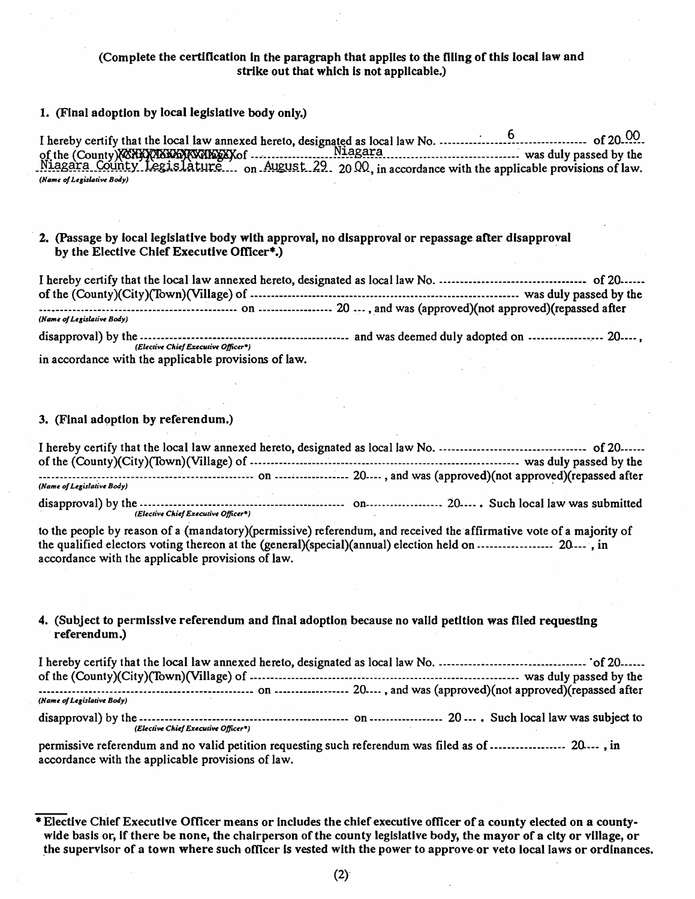# (Complete the certification In the paragraph that applies to the filing of this local law and strike out that which Is not applicable.)

# 1. (FInal adoption by local legislative body only.)

I hereby certify that the local law annexed hereto, designated as local law No.  $\frac{6}{100}$ . <sup>6</sup> o( the (County f --... --------------. \_\_ ~!.~g~~~ \_\_\_\_\_\_\_\_\_\_\_\_\_\_\_\_\_\_\_\_\_\_\_\_\_\_\_ -----~ was duly passed by the  $Niagara$  County Legislature... on August 29. 2000, in accordance with the applicable provisions of law. *(Name of Legislative Body)* 

# 2. (Passage by local legislative body with approval, no disapproval or repassage after disapproval by the Elective Chief Executive Officer\*.)

I hereby certify that the local law annexed hereto, designated as local law No. ----------------------------------- of 20----- of the (County)(City)(fown)(Village) of ----------------------------------------------------------------- was duly passed by the ---------------------------------------~------- on ------------------ 20 --- ,and was (approved)(not approved)(repassed after *(Name of Legislative Body)* 

disapproval) by the ------------------------.------------------------- and was deemed duly adopted on ---------------.--- 20----, *(Elective Chief Executive Officer<sup>4</sup>)* in accordance with the applicable provisions of law.

3. (Final adoption by referendum.)

I hereby certify that the local law annexed hereto, designated as local law No. ----------------------------------. of 20----- of the (County)(City)(Town)(Village) of ----------------------------------------------.------------------ was duly passed by the --------------.------------------------------------- on ----.;.---------~--- 20---- , and was (approved)(not approved)(repassed after *(Name of Legislative Body)* disapproval) by the ------------------------------------------------- on------------------- 20----. Such local law was submitted *. (Elective Chi«f Ex«t:Iltive Officer-)* 

to the people by reason of a (mandatory)(permissive) referendum, and received the affirmative vote of a majority of the qualified electors voting thereon at the (general)(special)(annual) election held on ------------------ 20.---' tin accordance with the applicable provisions of law.

### 4. (Subject to permissive referendum and final adoption because no valid petition was filed requesting referendum.)

| (Name of Legislative Body)          |                                                                                                      |
|-------------------------------------|------------------------------------------------------------------------------------------------------|
|                                     | $\ldots$ on $\ldots$ $\ldots$ $\ldots$ $\ldots$ $\ldots$ 20 $\ldots$ . Such local law was subject to |
| (Elective Chief Executive Officer*) |                                                                                                      |

permissive referendum and no valid petition requesting such referendum was filed as of ------------------ 20.--- ,in accordance with the applicable provisions of law.

<sup>\*</sup> Elective Chief Executive Officer means or Includes the chief executive officer of a county elected on a countywide basis or, if there be none, the chairperson of the county legislative body, the mayor of a city or village, or .the supervisor of a town where such officer Is vested wIth the power to approve-or veto local laws or ordinances.